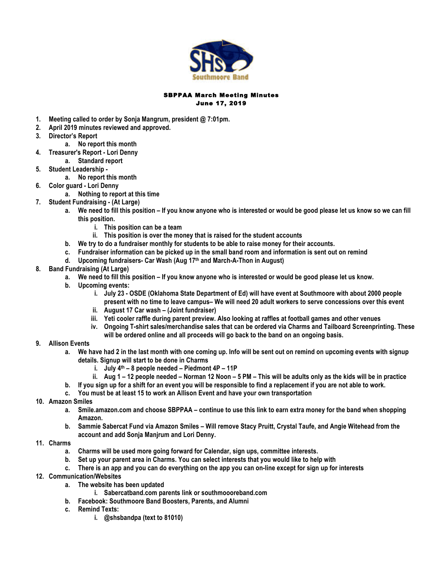

## SBPPAA March Meeting Minutes June 17, 2019

- **1. Meeting called to order by Sonja Mangrum, president @ 7:01pm.**
- **2. April 2019 minutes reviewed and approved.**
- **3. Director's Report**
	- **a. No report this month**
- **4. Treasurer's Report - Lori Denny**
	- **a. Standard report**
- **5. Student Leadership -**
- **a. No report this month**
- **6. Color guard - Lori Denny**
	- **a. Nothing to report at this time**
- **7. Student Fundraising - (At Large)**
	- **a. We need to fill this position – If you know anyone who is interested or would be good please let us know so we can fill this position.**
		- **i. This position can be a team**
		- **ii. This position is over the money that is raised for the student accounts**
	- **b. We try to do a fundraiser monthly for students to be able to raise money for their accounts.**
	- **c. Fundraiser information can be picked up in the small band room and information is sent out on remind**
	- **d. Upcoming fundraisers- Car Wash (Aug 17th and March-A-Thon in August)**
- **8. Band Fundraising (At Large)**
	- **a. We need to fill this position – If you know anyone who is interested or would be good please let us know.**
	- **b. Upcoming events:** 
		- **i. July 23 - OSDE (Oklahoma State Department of Ed) will have event at Southmoore with about 2000 people present with no time to leave campus– We will need 20 adult workers to serve concessions over this event**
		- **ii. August 17 Car wash – (Joint fundraiser)**
		- **iii. Yeti cooler raffle during parent preview. Also looking at raffles at football games and other venues**
		- **iv. Ongoing T-shirt sales/merchandise sales that can be ordered via Charms and Tailboard Screenprinting. These will be ordered online and all proceeds will go back to the band on an ongoing basis.**
- **9. Allison Events**
	- **a. We have had 2 in the last month with one coming up. Info will be sent out on remind on upcoming events with signup details. Signup will start to be done in Charms**
		- **i. July 4th – 8 people needed – Piedmont 4P – 11P**
		- **ii. Aug 1 – 12 people needed – Norman 12 Noon – 5 PM – This will be adults only as the kids will be in practice**
	- **b. If you sign up for a shift for an event you will be responsible to find a replacement if you are not able to work.**
	- **c. You must be at least 15 to work an Allison Event and have your own transportation**
- **10. Amazon Smiles**
	- **a. Smile.amazon.com and choose SBPPAA – continue to use this link to earn extra money for the band when shopping Amazon.**
	- **b. Sammie Sabercat Fund via Amazon Smiles – Will remove Stacy Pruitt, Crystal Taufe, and Angie Witehead from the account and add Sonja Manjrum and Lori Denny.**
- **11. Charms**
	- **a. Charms will be used more going forward for Calendar, sign ups, committee interests.**
	- **b. Set up your parent area in Charms. You can select interests that you would like to help with**
	- **c. There is an app and you can do everything on the app you can on-line except for sign up for interests**
- **12. Communication/Websites**
	- **a. The website has been updated** 
		- **i. Sabercatband.com parents link or southmoooreband.com**
	- **b. Facebook: Southmoore Band Boosters, Parents, and Alumni**
	- **c. Remind Texts:** 
		- **i. @shsbandpa (text to 81010)**